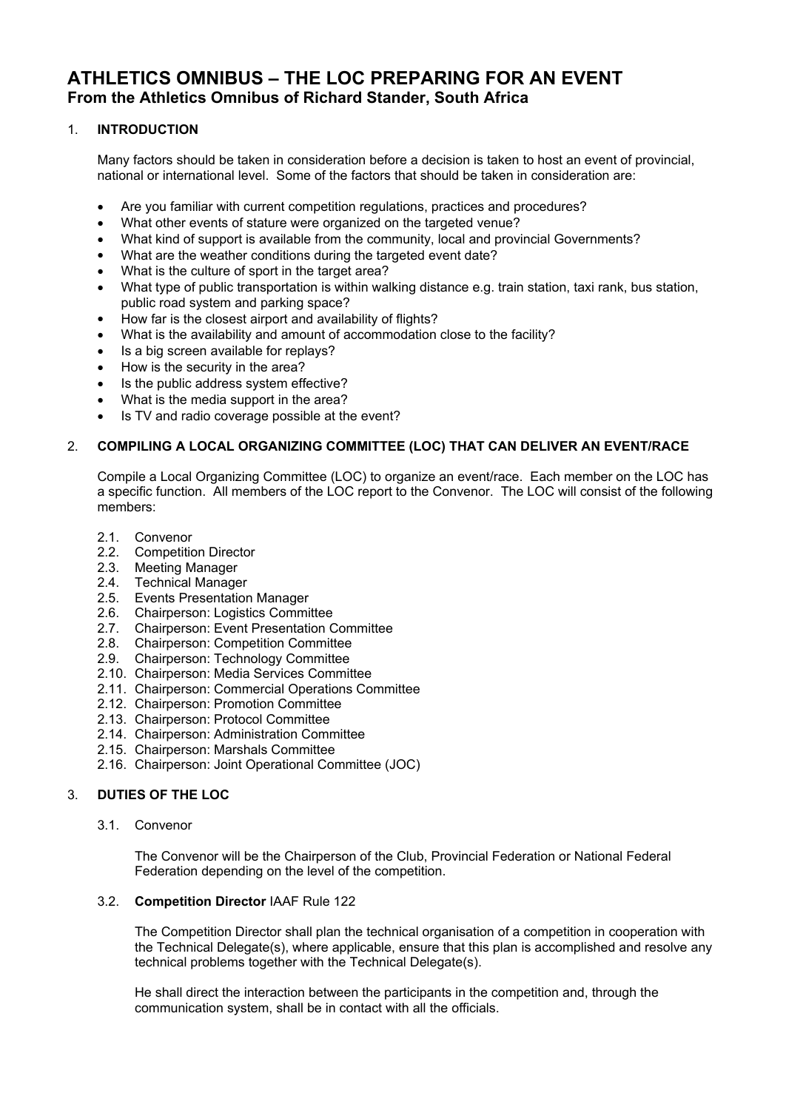# **ATHLETICS OMNIBUS – THE LOC PREPARING FOR AN EVENT From the Athletics Omnibus of Richard Stander, South Africa**

## 1. **INTRODUCTION**

Many factors should be taken in consideration before a decision is taken to host an event of provincial, national or international level. Some of the factors that should be taken in consideration are:

- Are you familiar with current competition regulations, practices and procedures?
- What other events of stature were organized on the targeted venue?
- What kind of support is available from the community, local and provincial Governments?
- What are the weather conditions during the targeted event date?
- What is the culture of sport in the target area?
- What type of public transportation is within walking distance e.g. train station, taxi rank, bus station, public road system and parking space?
- How far is the closest airport and availability of flights?
- What is the availability and amount of accommodation close to the facility?
- Is a big screen available for replays?
- How is the security in the area?
- Is the public address system effective?
- What is the media support in the area?
- Is TV and radio coverage possible at the event?

#### 2. **COMPILING A LOCAL ORGANIZING COMMITTEE (LOC) THAT CAN DELIVER AN EVENT/RACE**

Compile a Local Organizing Committee (LOC) to organize an event/race. Each member on the LOC has a specific function. All members of the LOC report to the Convenor. The LOC will consist of the following members:

- 2.1. Convenor
- 2.2. Competition Director
- 2.3. Meeting Manager
- 2.4. Technical Manager
- 2.5. Events Presentation Manager
- 2.6. Chairperson: Logistics Committee
- 2.7. Chairperson: Event Presentation Committee
- 2.8. Chairperson: Competition Committee
- 2.9. Chairperson: Technology Committee
- 2.10. Chairperson: Media Services Committee
- 2.11. Chairperson: Commercial Operations Committee
- 2.12. Chairperson: Promotion Committee
- 2.13. Chairperson: Protocol Committee
- 2.14. Chairperson: Administration Committee
- 2.15. Chairperson: Marshals Committee
- 2.16. Chairperson: Joint Operational Committee (JOC)

## 3. **DUTIES OF THE LOC**

3.1. Convenor

The Convenor will be the Chairperson of the Club, Provincial Federation or National Federal Federation depending on the level of the competition.

#### 3.2. **Competition Director** IAAF Rule 122

The Competition Director shall plan the technical organisation of a competition in cooperation with the Technical Delegate(s), where applicable, ensure that this plan is accomplished and resolve any technical problems together with the Technical Delegate(s).

He shall direct the interaction between the participants in the competition and, through the communication system, shall be in contact with all the officials.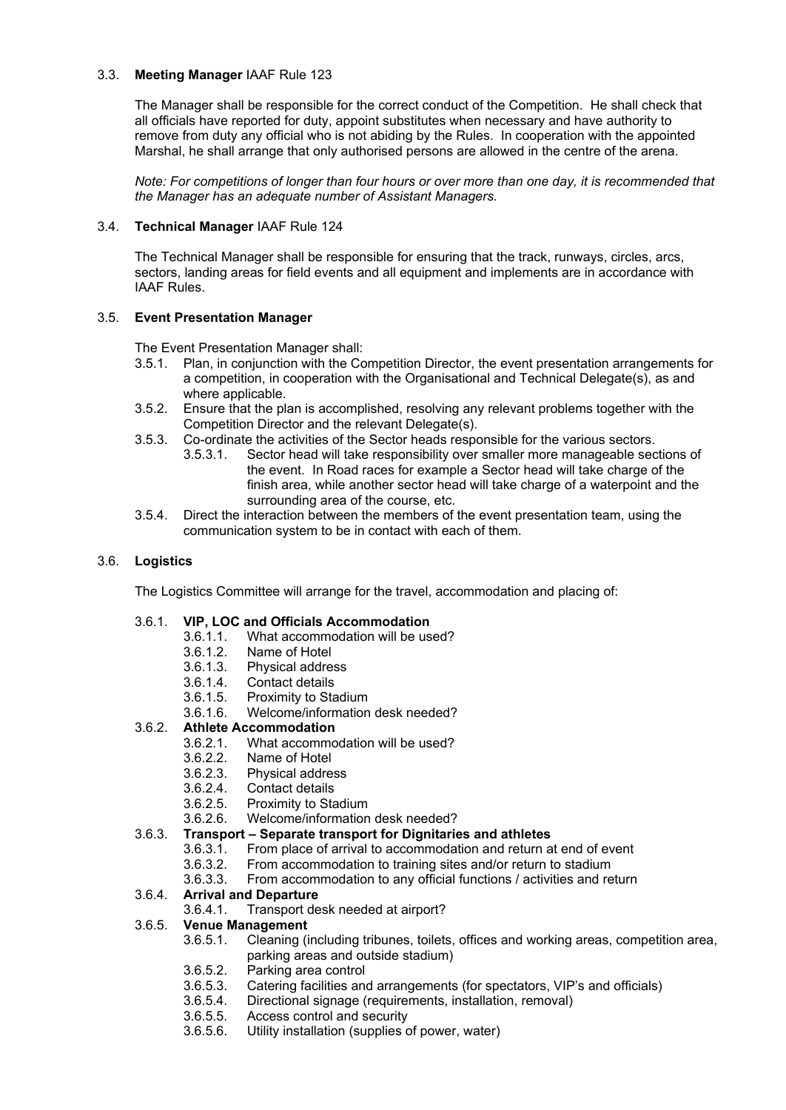## 3.3. **Meeting Manager** IAAF Rule 123

The Manager shall be responsible for the correct conduct of the Competition. He shall check that all officials have reported for duty, appoint substitutes when necessary and have authority to remove from duty any official who is not abiding by the Rules. In cooperation with the appointed Marshal, he shall arrange that only authorised persons are allowed in the centre of the arena.

*Note: For competitions of longer than four hours or over more than one day, it is recommended that the Manager has an adequate number of Assistant Managers.*

## 3.4. **Technical Manager** IAAF Rule 124

The Technical Manager shall be responsible for ensuring that the track, runways, circles, arcs, sectors, landing areas for field events and all equipment and implements are in accordance with IAAF Rules.

## 3.5. **Event Presentation Manager**

The Event Presentation Manager shall:

- 3.5.1. Plan, in conjunction with the Competition Director, the event presentation arrangements for a competition, in cooperation with the Organisational and Technical Delegate(s), as and where applicable.
- 3.5.2. Ensure that the plan is accomplished, resolving any relevant problems together with the Competition Director and the relevant Delegate(s).
- 3.5.3. Co-ordinate the activities of the Sector heads responsible for the various sectors.
	- 3.5.3.1. Sector head will take responsibility over smaller more manageable sections of the event. In Road races for example a Sector head will take charge of the finish area, while another sector head will take charge of a waterpoint and the surrounding area of the course, etc.
- 3.5.4. Direct the interaction between the members of the event presentation team, using the communication system to be in contact with each of them.

## 3.6. **Logistics**

The Logistics Committee will arrange for the travel, accommodation and placing of:

## 3.6.1. **VIP, LOC and Officials Accommodation**

- 3.6.1.1. What accommodation will be used?
	-
- 3.6.1.2. Name of Hotel 3.6.1.3. Physical address
- Contact details
- 3.6.1.5. Proximity to Stadium
- 3.6.1.6. Welcome/information desk needed?

## 3.6.2. **Athlete Accommodation**

- 3.6.2.1. What accommodation will be used?
- 3.6.2.2. Name of Hotel
- 3.6.2.3. Physical address
	-
- 3.6.2.4. Contact details<br>3.6.2.5. Proximity to Sta Proximity to Stadium
- 3.6.2.6. Welcome/information desk needed?

## 3.6.3. **Transport – Separate transport for Dignitaries and athletes**

- 3.6.3.1. From place of arrival to accommodation and return at end of event 3.6.3.2. From accommodation to training sites and/or return to stadium
	- 3.6.3.2. From accommodation to training sites and/or return to stadium
- 3.6.3.3. From accommodation to any official functions / activities and return

## 3.6.4. **Arrival and Departure**

3.6.4.1. Transport desk needed at airport?

## 3.6.5. **Venue Management**

- 3.6.5.1. Cleaning (including tribunes, toilets, offices and working areas, competition area, parking areas and outside stadium)
- 3.6.5.2. Parking area control
- Catering facilities and arrangements (for spectators, VIP's and officials)
- 3.6.5.4. Directional signage (requirements, installation, removal)
- 3.6.5.5. Access control and security
- 3.6.5.6. Utility installation (supplies of power, water)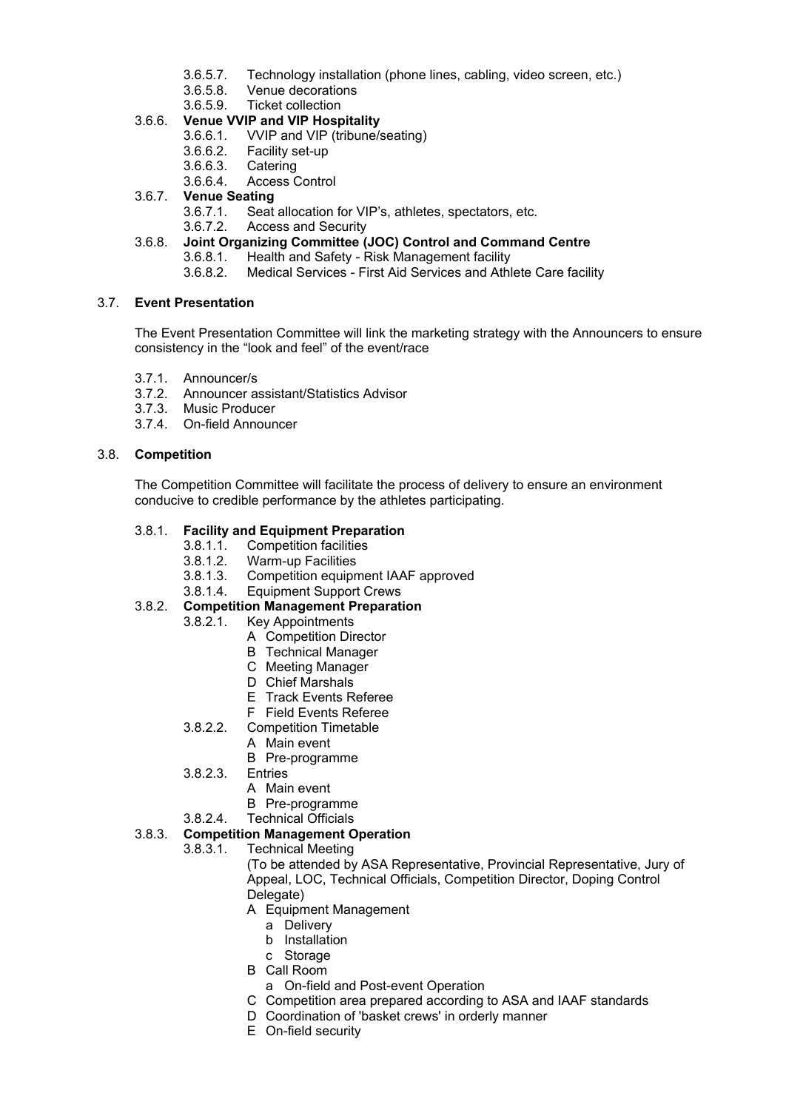- 3.6.5.7. Technology installation (phone lines, cabling, video screen, etc.)
- Venue decorations
- 3.6.5.9. Ticket collection

## 3.6.6. **Venue VVIP and VIP Hospitality**

- 3.6.6.1. VVIP and VIP (tribune/seating)
- 3.6.6.2. Facility set-up
- 3.6.6.3. Catering
- 3.6.6.4. Access Control

## 3.6.7. **Venue Seating**

- 3.6.7.1. Seat allocation for VIP's, athletes, spectators, etc.
- 3.6.7.2. Access and Security

## 3.6.8. **Joint Organizing Committee (JOC) Control and Command Centre**

- 3.6.8.1. Health and Safety Risk Management facility<br>3.6.8.2. Medical Services First Aid Services and Athl
- 3.6.8.2. Medical Services First Aid Services and Athlete Care facility

## 3.7. **Event Presentation**

The Event Presentation Committee will link the marketing strategy with the Announcers to ensure consistency in the "look and feel" of the event/race

- 3.7.1. Announcer/s
- 3.7.2. Announcer assistant/Statistics Advisor
- 3.7.3. Music Producer
- 3.7.4. On-field Announcer

## 3.8. **Competition**

The Competition Committee will facilitate the process of delivery to ensure an environment conducive to credible performance by the athletes participating.

## 3.8.1. **Facility and Equipment Preparation**

- 3.8.1.1. Competition facilities
- 3.8.1.2. Warm-up Facilities
- 3.8.1.3. Competition equipment IAAF approved
- 3.8.1.4. Equipment Support Crews

## 3.8.2. **Competition Management Preparation**

- 3.8.2.1. Key Appointments
	- A Competition Director
		- B Technical Manager
		- C Meeting Manager
		- D Chief Marshals
		- E Track Events Referee
	- F Field Events Referee
- 3.8.2.2. Competition Timetable
	- A Main event
		- B Pre-programme
- 3.8.2.3. Entries
	- A Main event
	- B Pre-programme
- 3.8.2.4. Technical Officials

## 3.8.3. **Competition Management Operation**

3.8.3.1. Technical Meeting

(To be attended by ASA Representative, Provincial Representative, Jury of Appeal, LOC, Technical Officials, Competition Director, Doping Control Delegate)

- A Equipment Management
	- a Delivery
	- b Installation
	- c Storage
- B Call Room
- a On-field and Post-event Operation
- C Competition area prepared according to ASA and IAAF standards
- D Coordination of 'basket crews' in orderly manner
- E On-field security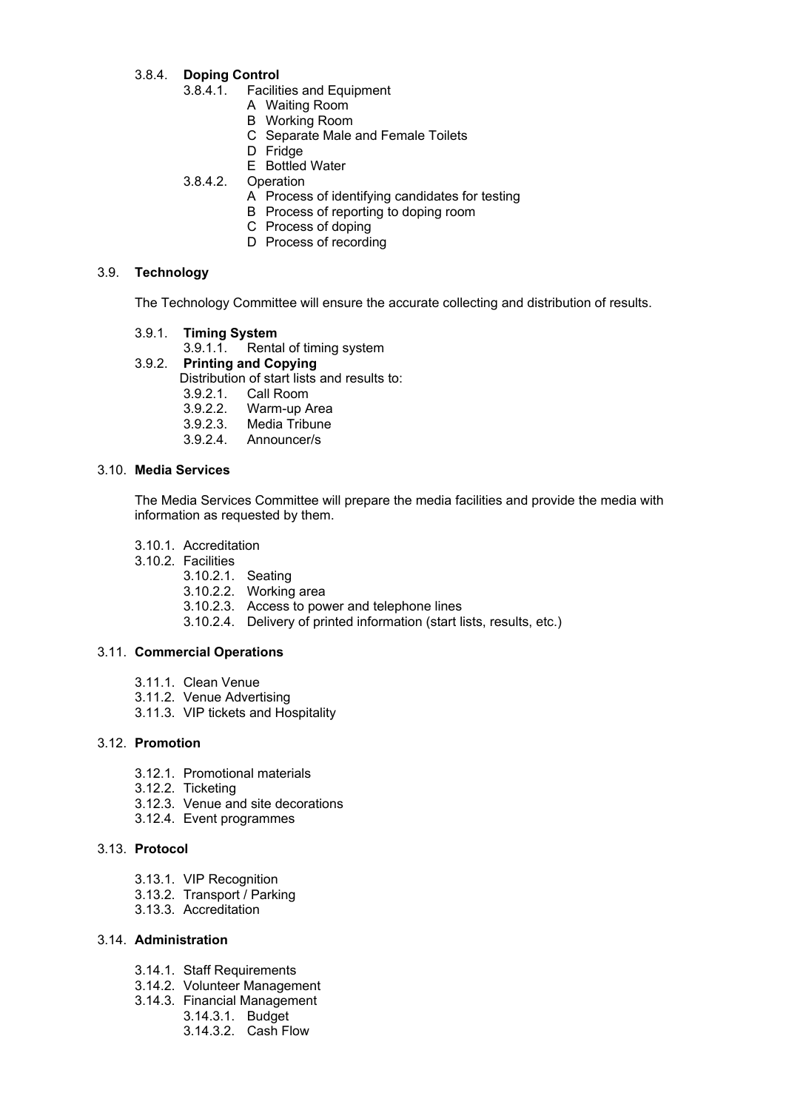## 3.8.4. **Doping Control**

- 3.8.4.1. Facilities and Equipment
	- A Waiting Room
		- B Working Room
		- C Separate Male and Female Toilets
	- D Fridge
	- E Bottled Water
- 3.8.4.2. Operation
	- A Process of identifying candidates for testing
	- B Process of reporting to doping room
	- C Process of doping
	- D Process of recording

## 3.9. **Technology**

The Technology Committee will ensure the accurate collecting and distribution of results.

- 3.9.1. **Timing System**
	- 3.9.1.1. Rental of timing system
- 3.9.2. **Printing and Copying**
	- Distribution of start lists and results to:
		- 3.9.2.1. Call Room
		- 3.9.2.2. Warm-up Area
		- 3.9.2.3. Media Tribune
		- 3.9.2.4. Announcer/s

#### 3.10. **Media Services**

The Media Services Committee will prepare the media facilities and provide the media with information as requested by them.

- 3.10.1. Accreditation
- 3.10.2. Facilities
	- 3.10.2.1. Seating
	- 3.10.2.2. Working area
	- 3.10.2.3. Access to power and telephone lines
	- 3.10.2.4. Delivery of printed information (start lists, results, etc.)

## 3.11. **Commercial Operations**

- 3.11.1. Clean Venue
- 3.11.2. Venue Advertising
- 3.11.3. VIP tickets and Hospitality

#### 3.12. **Promotion**

- 3.12.1. Promotional materials
- 3.12.2. Ticketing
- 3.12.3. Venue and site decorations
- 3.12.4. Event programmes

## 3.13. **Protocol**

- 3.13.1. VIP Recognition
- 3.13.2. Transport / Parking
- 3.13.3. Accreditation

### 3.14. **Administration**

- 3.14.1. Staff Requirements
- 3.14.2. Volunteer Management
- 3.14.3. Financial Management
	- 3.14.3.1. Budget
	- 3.14.3.2. Cash Flow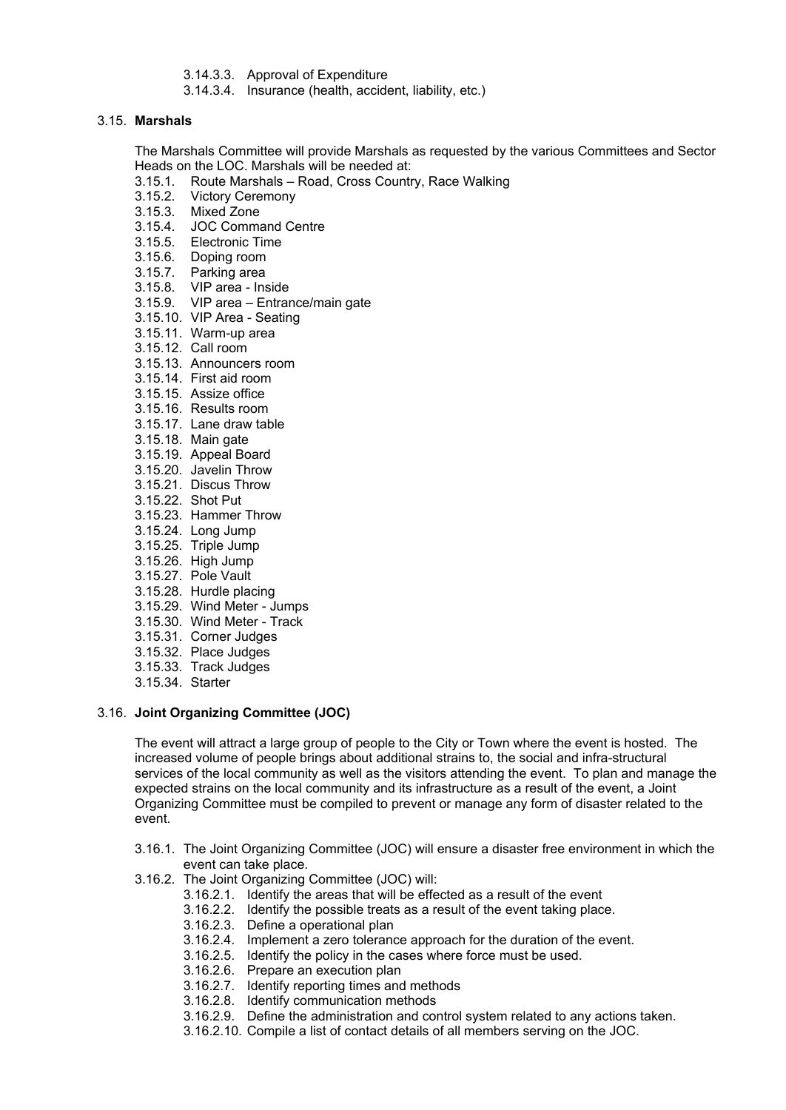- 3.14.3.3. Approval of Expenditure
- 3.14.3.4. Insurance (health, accident, liability, etc.)

#### 3.15. **Marshals**

The Marshals Committee will provide Marshals as requested by the various Committees and Sector Heads on the LOC. Marshals will be needed at:

- 3.15.1. Route Marshals Road, Cross Country, Race Walking
- 3.15.2. Victory Ceremony
- 3.15.3. Mixed Zone
- 3.15.4. JOC Command Centre
- 3.15.5. Electronic Time
- 3.15.6. Doping room
- 3.15.7. Parking area
- 3.15.8. VIP area Inside
- 3.15.9. VIP area Entrance/main gate
- 3.15.10. VIP Area Seating
- 3.15.11. Warm-up area
- 3.15.12. Call room
- 3.15.13. Announcers room
- 3.15.14. First aid room
- 3.15.15. Assize office
- 3.15.16. Results room
- 3.15.17. Lane draw table
- 3.15.18. Main gate
- 3.15.19. Appeal Board
- 3.15.20. Javelin Throw
- 3.15.21. Discus Throw
- 3.15.22. Shot Put
- 3.15.23. Hammer Throw
- 3.15.24. Long Jump
- 3.15.25. Triple Jump
- 3.15.26. High Jump
- 3.15.27. Pole Vault
- 3.15.28. Hurdle placing
- 3.15.29. Wind Meter Jumps
- 3.15.30. Wind Meter Track
- 3.15.31. Corner Judges
- 3.15.32. Place Judges
- 3.15.33. Track Judges
- 3.15.34. Starter

#### 3.16. **Joint Organizing Committee (JOC)**

The event will attract a large group of people to the City or Town where the event is hosted. The increased volume of people brings about additional strains to, the social and infra-structural services of the local community as well as the visitors attending the event. To plan and manage the expected strains on the local community and its infrastructure as a result of the event, a Joint Organizing Committee must be compiled to prevent or manage any form of disaster related to the event.

- 3.16.1. The Joint Organizing Committee (JOC) will ensure a disaster free environment in which the event can take place.
- 3.16.2. The Joint Organizing Committee (JOC) will:
	- 3.16.2.1. Identify the areas that will be effected as a result of the event
	- 3.16.2.2. Identify the possible treats as a result of the event taking place.
	- 3.16.2.3. Define a operational plan
	- 3.16.2.4. Implement a zero tolerance approach for the duration of the event.
	- 3.16.2.5. Identify the policy in the cases where force must be used.
	- 3.16.2.6. Prepare an execution plan
	- 3.16.2.7. Identify reporting times and methods
	- 3.16.2.8. Identify communication methods
	- 3.16.2.9. Define the administration and control system related to any actions taken.
	- 3.16.2.10. Compile a list of contact details of all members serving on the JOC.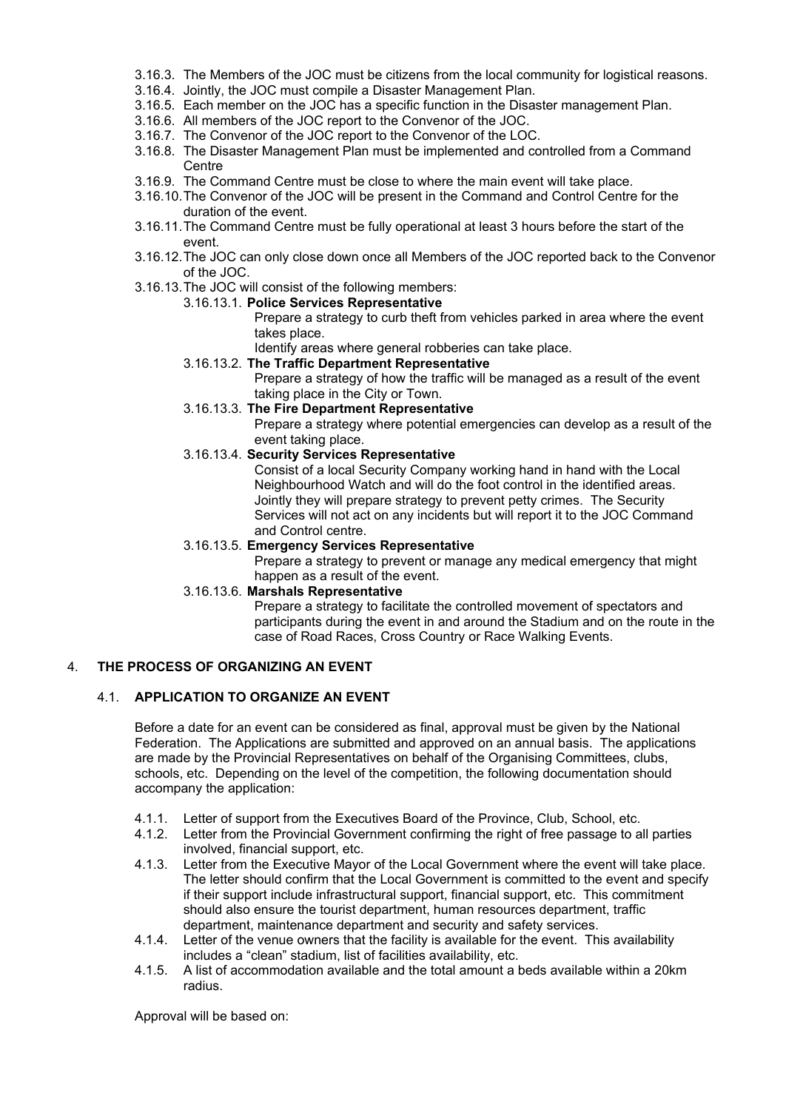- 3.16.3. The Members of the JOC must be citizens from the local community for logistical reasons.
- 3.16.4. Jointly, the JOC must compile a Disaster Management Plan.
- 3.16.5. Each member on the JOC has a specific function in the Disaster management Plan.
- 3.16.6. All members of the JOC report to the Convenor of the JOC.
- 3.16.7. The Convenor of the JOC report to the Convenor of the LOC.
- 3.16.8. The Disaster Management Plan must be implemented and controlled from a Command Centre
- 3.16.9. The Command Centre must be close to where the main event will take place.
- 3.16.10.The Convenor of the JOC will be present in the Command and Control Centre for the duration of the event.
- 3.16.11.The Command Centre must be fully operational at least 3 hours before the start of the event.
- 3.16.12.The JOC can only close down once all Members of the JOC reported back to the Convenor of the JOC.
- 3.16.13.The JOC will consist of the following members:
	- 3.16.13.1. **Police Services Representative**

Prepare a strategy to curb theft from vehicles parked in area where the event takes place.

Identify areas where general robberies can take place.

3.16.13.2. **The Traffic Department Representative**

Prepare a strategy of how the traffic will be managed as a result of the event taking place in the City or Town.

3.16.13.3. **The Fire Department Representative**

Prepare a strategy where potential emergencies can develop as a result of the event taking place.

3.16.13.4. **Security Services Representative**

Consist of a local Security Company working hand in hand with the Local Neighbourhood Watch and will do the foot control in the identified areas. Jointly they will prepare strategy to prevent petty crimes. The Security Services will not act on any incidents but will report it to the JOC Command and Control centre.

#### 3.16.13.5. **Emergency Services Representative**

Prepare a strategy to prevent or manage any medical emergency that might happen as a result of the event.

3.16.13.6. **Marshals Representative**

Prepare a strategy to facilitate the controlled movement of spectators and participants during the event in and around the Stadium and on the route in the case of Road Races, Cross Country or Race Walking Events.

## 4. **THE PROCESS OF ORGANIZING AN EVENT**

## 4.1. **APPLICATION TO ORGANIZE AN EVENT**

Before a date for an event can be considered as final, approval must be given by the National Federation. The Applications are submitted and approved on an annual basis. The applications are made by the Provincial Representatives on behalf of the Organising Committees, clubs, schools, etc. Depending on the level of the competition, the following documentation should accompany the application:

- 4.1.1. Letter of support from the Executives Board of the Province, Club, School, etc.
- 4.1.2. Letter from the Provincial Government confirming the right of free passage to all parties involved, financial support, etc.
- 4.1.3. Letter from the Executive Mayor of the Local Government where the event will take place. The letter should confirm that the Local Government is committed to the event and specify if their support include infrastructural support, financial support, etc. This commitment should also ensure the tourist department, human resources department, traffic department, maintenance department and security and safety services.
- 4.1.4. Letter of the venue owners that the facility is available for the event. This availability includes a "clean" stadium, list of facilities availability, etc.
- 4.1.5. A list of accommodation available and the total amount a beds available within a 20km radius.

Approval will be based on: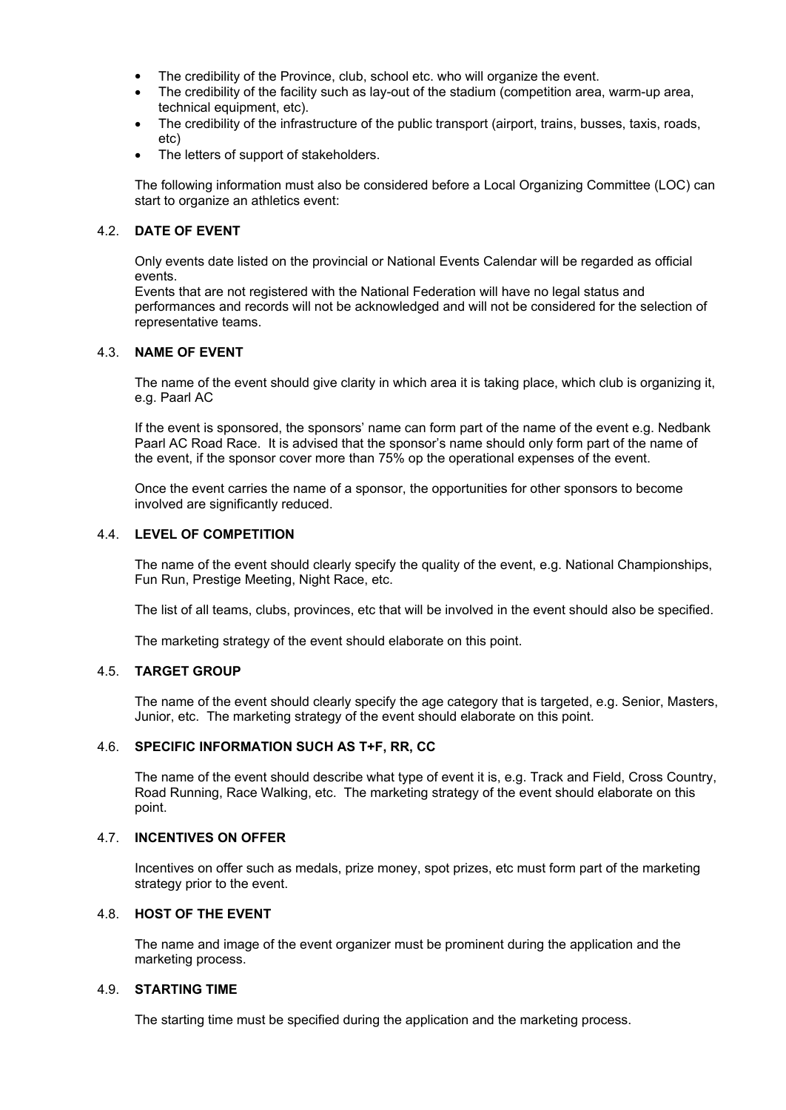- The credibility of the Province, club, school etc. who will organize the event.
- The credibility of the facility such as lay-out of the stadium (competition area, warm-up area, technical equipment, etc).
- The credibility of the infrastructure of the public transport (airport, trains, busses, taxis, roads, etc)
- The letters of support of stakeholders.

The following information must also be considered before a Local Organizing Committee (LOC) can start to organize an athletics event:

#### 4.2. **DATE OF EVENT**

Only events date listed on the provincial or National Events Calendar will be regarded as official events.

Events that are not registered with the National Federation will have no legal status and performances and records will not be acknowledged and will not be considered for the selection of representative teams.

### 4.3. **NAME OF EVENT**

The name of the event should give clarity in which area it is taking place, which club is organizing it, e.g. Paarl AC

If the event is sponsored, the sponsors' name can form part of the name of the event e.g. Nedbank Paarl AC Road Race. It is advised that the sponsor's name should only form part of the name of the event, if the sponsor cover more than 75% op the operational expenses of the event.

Once the event carries the name of a sponsor, the opportunities for other sponsors to become involved are significantly reduced.

#### 4.4. **LEVEL OF COMPETITION**

The name of the event should clearly specify the quality of the event, e.g. National Championships, Fun Run, Prestige Meeting, Night Race, etc.

The list of all teams, clubs, provinces, etc that will be involved in the event should also be specified.

The marketing strategy of the event should elaborate on this point.

#### 4.5. **TARGET GROUP**

The name of the event should clearly specify the age category that is targeted, e.g. Senior, Masters, Junior, etc. The marketing strategy of the event should elaborate on this point.

## 4.6. **SPECIFIC INFORMATION SUCH AS T+F, RR, CC**

The name of the event should describe what type of event it is, e.g. Track and Field, Cross Country, Road Running, Race Walking, etc. The marketing strategy of the event should elaborate on this point.

#### 4.7. **INCENTIVES ON OFFER**

Incentives on offer such as medals, prize money, spot prizes, etc must form part of the marketing strategy prior to the event.

#### 4.8. **HOST OF THE EVENT**

The name and image of the event organizer must be prominent during the application and the marketing process.

### 4.9. **STARTING TIME**

The starting time must be specified during the application and the marketing process.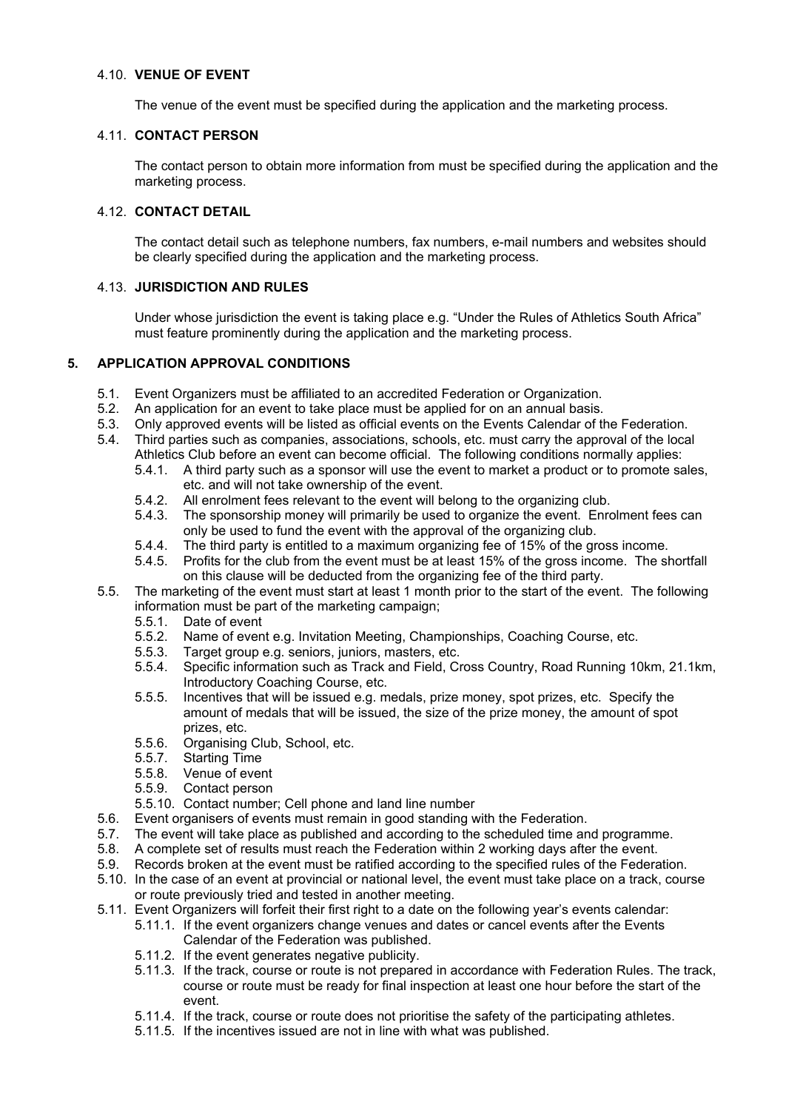#### 4.10. **VENUE OF EVENT**

The venue of the event must be specified during the application and the marketing process.

### 4.11. **CONTACT PERSON**

The contact person to obtain more information from must be specified during the application and the marketing process.

## 4.12. **CONTACT DETAIL**

The contact detail such as telephone numbers, fax numbers, e-mail numbers and websites should be clearly specified during the application and the marketing process.

## 4.13. **JURISDICTION AND RULES**

Under whose jurisdiction the event is taking place e.g. "Under the Rules of Athletics South Africa" must feature prominently during the application and the marketing process.

## **5. APPLICATION APPROVAL CONDITIONS**

- 5.1. Event Organizers must be affiliated to an accredited Federation or Organization.
- 5.2. An application for an event to take place must be applied for on an annual basis.
- 5.3. Only approved events will be listed as official events on the Events Calendar of the Federation.
- 5.4. Third parties such as companies, associations, schools, etc. must carry the approval of the local Athletics Club before an event can become official. The following conditions normally applies:
	- 5.4.1. A third party such as a sponsor will use the event to market a product or to promote sales, etc. and will not take ownership of the event.
	- 5.4.2. All enrolment fees relevant to the event will belong to the organizing club.
	- 5.4.3. The sponsorship money will primarily be used to organize the event. Enrolment fees can only be used to fund the event with the approval of the organizing club.
	- 5.4.4. The third party is entitled to a maximum organizing fee of 15% of the gross income.
	- 5.4.5. Profits for the club from the event must be at least 15% of the gross income. The shortfall on this clause will be deducted from the organizing fee of the third party.
- 5.5. The marketing of the event must start at least 1 month prior to the start of the event. The following information must be part of the marketing campaign;
	- 5.5.1. Date of event
	- 5.5.2. Name of event e.g. Invitation Meeting, Championships, Coaching Course, etc.<br>5.5.3. Taraet aroup e.g. seniors, juniors, masters, etc.
	- Target group e.g. seniors, juniors, masters, etc.
	- 5.5.4. Specific information such as Track and Field, Cross Country, Road Running 10km, 21.1km, Introductory Coaching Course, etc.
	- 5.5.5. Incentives that will be issued e.g. medals, prize money, spot prizes, etc. Specify the amount of medals that will be issued, the size of the prize money, the amount of spot prizes, etc.
	- 5.5.6. Organising Club, School, etc.
	- 5.5.7. Starting Time
	- 5.5.8. Venue of event
	- 5.5.9. Contact person
	- 5.5.10. Contact number; Cell phone and land line number
- 5.6. Event organisers of events must remain in good standing with the Federation.
- 5.7. The event will take place as published and according to the scheduled time and programme.
- 5.8. A complete set of results must reach the Federation within 2 working days after the event.
- 5.9. Records broken at the event must be ratified according to the specified rules of the Federation.
- 5.10. In the case of an event at provincial or national level, the event must take place on a track, course or route previously tried and tested in another meeting.
- 5.11. Event Organizers will forfeit their first right to a date on the following year's events calendar:
	- 5.11.1. If the event organizers change venues and dates or cancel events after the Events Calendar of the Federation was published.
	- 5.11.2. If the event generates negative publicity.
	- 5.11.3. If the track, course or route is not prepared in accordance with Federation Rules. The track, course or route must be ready for final inspection at least one hour before the start of the event.
	- 5.11.4. If the track, course or route does not prioritise the safety of the participating athletes.
	- 5.11.5. If the incentives issued are not in line with what was published.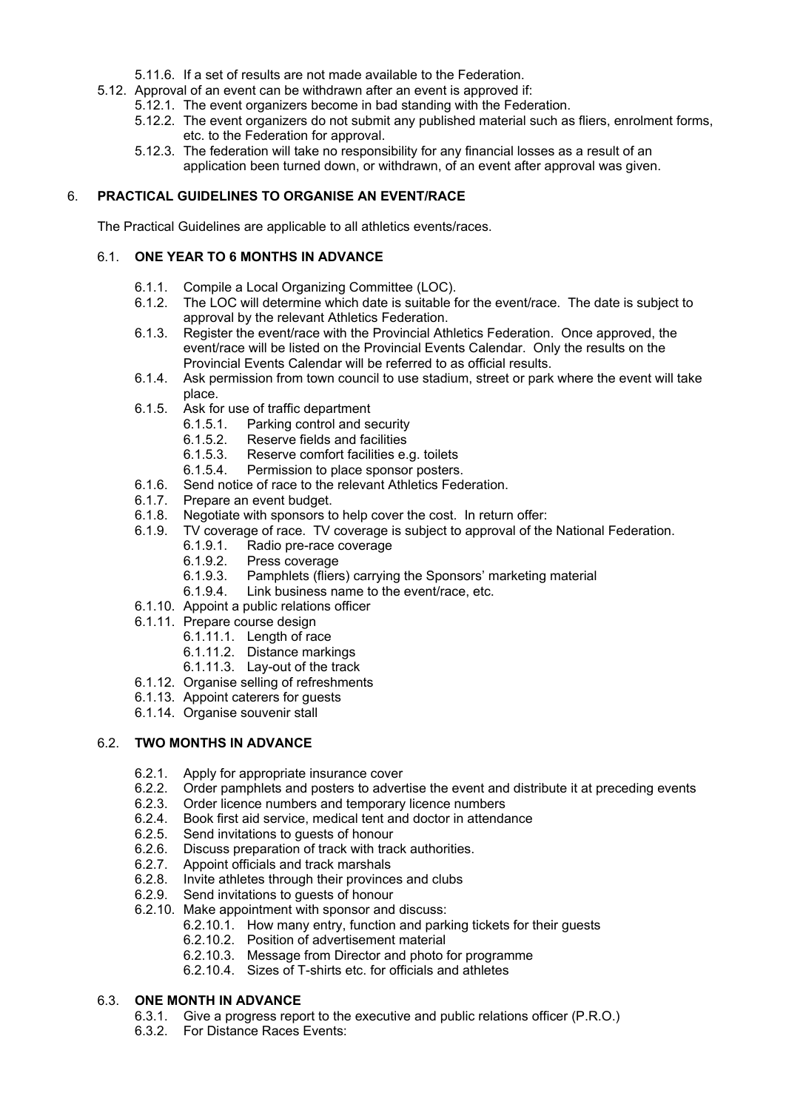- 5.11.6. If a set of results are not made available to the Federation.
- 5.12. Approval of an event can be withdrawn after an event is approved if:
	- 5.12.1. The event organizers become in bad standing with the Federation.
	- 5.12.2. The event organizers do not submit any published material such as fliers, enrolment forms, etc. to the Federation for approval.
	- 5.12.3. The federation will take no responsibility for any financial losses as a result of an application been turned down, or withdrawn, of an event after approval was given.

## 6. **PRACTICAL GUIDELINES TO ORGANISE AN EVENT/RACE**

The Practical Guidelines are applicable to all athletics events/races.

## 6.1. **ONE YEAR TO 6 MONTHS IN ADVANCE**

- 6.1.1. Compile a Local Organizing Committee (LOC).
- 6.1.2. The LOC will determine which date is suitable for the event/race. The date is subject to approval by the relevant Athletics Federation.
- 6.1.3. Register the event/race with the Provincial Athletics Federation. Once approved, the event/race will be listed on the Provincial Events Calendar. Only the results on the Provincial Events Calendar will be referred to as official results.
- 6.1.4. Ask permission from town council to use stadium, street or park where the event will take place.
- 6.1.5. Ask for use of traffic department
	- 6.1.5.1. Parking control and security
	- 6.1.5.2. Reserve fields and facilities
	- 6.1.5.3. Reserve comfort facilities e.g. toilets
	- 6.1.5.4. Permission to place sponsor posters.
- 6.1.6. Send notice of race to the relevant Athletics Federation.
- 6.1.7. Prepare an event budget.
- 6.1.8. Negotiate with sponsors to help cover the cost. In return offer:
- 6.1.9. TV coverage of race. TV coverage is subject to approval of the National Federation.
	- 6.1.9.1. Radio pre-race coverage<br>6.1.9.2. Press coverage
		-
		- 6.1.9.2. Press coverage<br>6.1.9.3. Pamphlets (fliers Pamphlets (fliers) carrying the Sponsors' marketing material
		- 6.1.9.4. Link business name to the event/race, etc.
- 6.1.10. Appoint a public relations officer
- 6.1.11. Prepare course design
	- 6.1.11.1. Length of race
	- 6.1.11.2. Distance markings
	- 6.1.11.3. Lay-out of the track
- 6.1.12. Organise selling of refreshments
- 6.1.13. Appoint caterers for guests
- 6.1.14. Organise souvenir stall

## 6.2. **TWO MONTHS IN ADVANCE**

- 6.2.1. Apply for appropriate insurance cover
- 6.2.2. Order pamphlets and posters to advertise the event and distribute it at preceding events
- 6.2.3. Order licence numbers and temporary licence numbers
- 6.2.4. Book first aid service, medical tent and doctor in attendance
- 6.2.5. Send invitations to guests of honour
- 6.2.6. Discuss preparation of track with track authorities.
- 6.2.7. Appoint officials and track marshals
- 6.2.8. Invite athletes through their provinces and clubs
- 6.2.9. Send invitations to guests of honour
- 6.2.10. Make appointment with sponsor and discuss:
	- 6.2.10.1. How many entry, function and parking tickets for their guests
	- 6.2.10.2. Position of advertisement material
	- 6.2.10.3. Message from Director and photo for programme
	- 6.2.10.4. Sizes of T-shirts etc. for officials and athletes

## 6.3. **ONE MONTH IN ADVANCE**

- 6.3.1. Give a progress report to the executive and public relations officer (P.R.O.)
- 6.3.2. For Distance Races Events: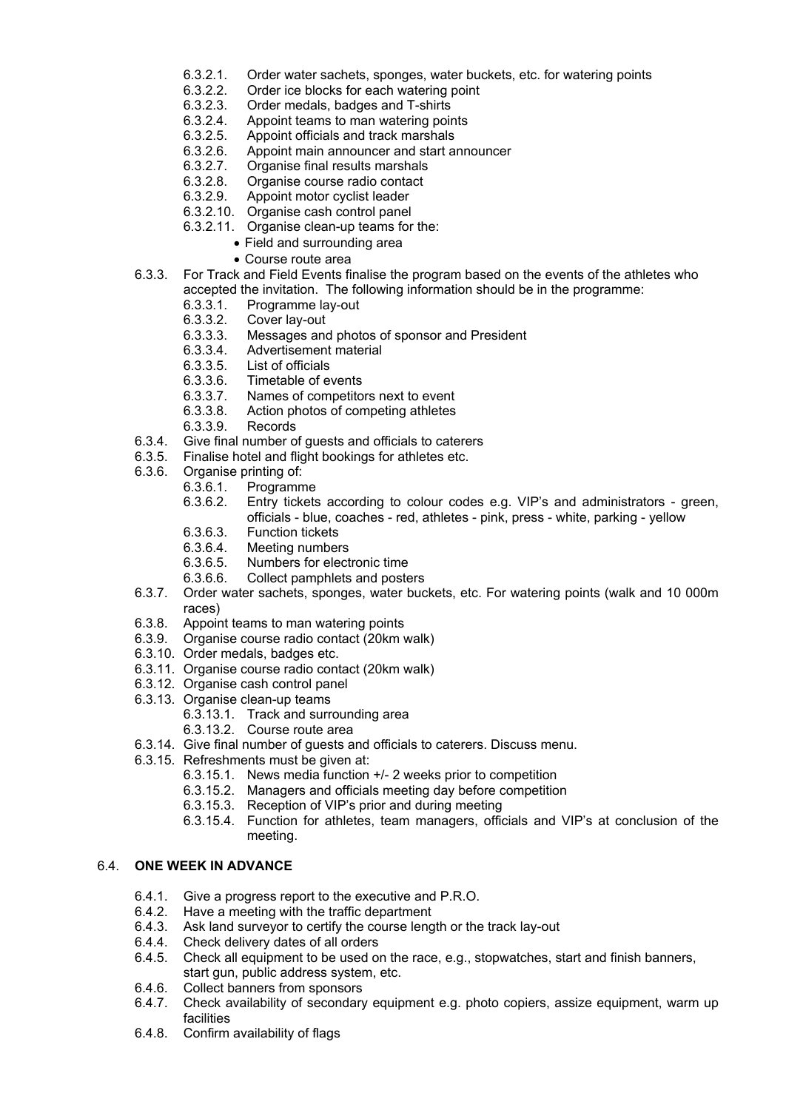- 6.3.2.1. Order water sachets, sponges, water buckets, etc. for watering points 6.3.2.2. Order ice blocks for each watering point
- 6.3.2.2. Order ice blocks for each watering point 6.3.2.3. Order medals. badges and T-shirts
- 6.3.2.3. Order medals, badges and T-shirts
- 6.3.2.4. Appoint teams to man watering points
- 6.3.2.5. Appoint officials and track marshals
- 6.3.2.6. Appoint main announcer and start announcer
- 6.3.2.7. Organise final results marshals
- 6.3.2.8. Organise course radio contact
- 6.3.2.9. Appoint motor cyclist leader
- 6.3.2.10. Organise cash control panel
- 6.3.2.11. Organise clean-up teams for the:
	- Field and surrounding area
	- Course route area
- 6.3.3. For Track and Field Events finalise the program based on the events of the athletes who accepted the invitation. The following information should be in the programme:
	- 6.3.3.1. Programme lay-out<br>6.3.3.2. Cover lay-out
	- 6.3.3.2. Cover lay-out<br>6.3.3.3. Messages and
	- Messages and photos of sponsor and President
	- 6.3.3.4. Advertisement material
	- 6.3.3.5. List of officials
	- 6.3.3.6. Timetable of events
	- 6.3.3.7. Names of competitors next to event
	- 6.3.3.8. Action photos of competing athletes
	- 6.3.3.9. Records
- 6.3.4. Give final number of guests and officials to caterers
- 6.3.5. Finalise hotel and flight bookings for athletes etc.
- 6.3.6. Organise printing of:
	- 6.3.6.1. Programme
	- 6.3.6.2. Entry tickets according to colour codes e.g. VIP's and administrators green, officials - blue, coaches - red, athletes - pink, press - white, parking - yellow
	- 6.3.6.3. Function tickets
	- 6.3.6.4. Meeting numbers
	- 6.3.6.5. Numbers for electronic time<br>6.3.6.6. Collect pamphlets and poste
	- 6.3.6.6. Collect pamphlets and posters
- 6.3.7. Order water sachets, sponges, water buckets, etc. For watering points (walk and 10 000m races)
- 6.3.8. Appoint teams to man watering points
- 6.3.9. Organise course radio contact (20km walk)
- 6.3.10. Order medals, badges etc.
- 6.3.11. Organise course radio contact (20km walk)
- 6.3.12. Organise cash control panel
- 6.3.13. Organise clean-up teams
	- 6.3.13.1. Track and surrounding area
		- 6.3.13.2. Course route area
- 6.3.14. Give final number of guests and officials to caterers. Discuss menu.
- 6.3.15. Refreshments must be given at:
	- 6.3.15.1. News media function +/- 2 weeks prior to competition
		- 6.3.15.2. Managers and officials meeting day before competition
		- 6.3.15.3. Reception of VIP's prior and during meeting
		- 6.3.15.4. Function for athletes, team managers, officials and VIP's at conclusion of the meeting.

### 6.4. **ONE WEEK IN ADVANCE**

- 6.4.1. Give a progress report to the executive and P.R.O.
- 6.4.2. Have a meeting with the traffic department
- 6.4.3. Ask land surveyor to certify the course length or the track lay-out
- 6.4.4. Check delivery dates of all orders
- 6.4.5. Check all equipment to be used on the race, e.g., stopwatches, start and finish banners, start gun, public address system, etc.
- 6.4.6. Collect banners from sponsors
- 6.4.7. Check availability of secondary equipment e.g. photo copiers, assize equipment, warm up facilities
- 6.4.8. Confirm availability of flags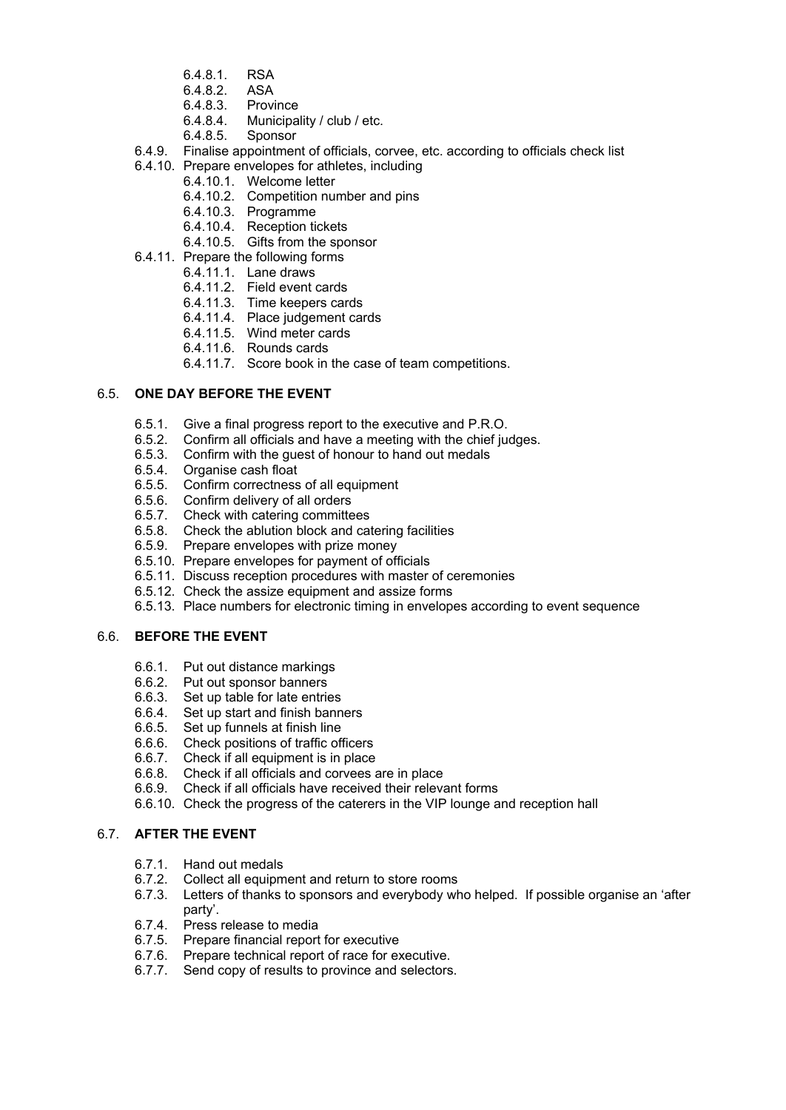- 6.4.8.1. RSA
- 6.4.8.2. ASA
- 6.4.8.3. Province
- 6.4.8.4. Municipality / club / etc.
- 6.4.8.5. Sponsor
- 6.4.9. Finalise appointment of officials, corvee, etc. according to officials check list
- 6.4.10. Prepare envelopes for athletes, including
	- 6.4.10.1. Welcome letter
	- 6.4.10.2. Competition number and pins
	- 6.4.10.3. Programme
	- 6.4.10.4. Reception tickets
	- 6.4.10.5. Gifts from the sponsor
- 6.4.11. Prepare the following forms
	- 6.4.11.1. Lane draws
	- 6.4.11.2. Field event cards
	- 6.4.11.3. Time keepers cards
	- 6.4.11.4. Place judgement cards
	- 6.4.11.5. Wind meter cards
	- 6.4.11.6. Rounds cards
	- 6.4.11.7. Score book in the case of team competitions.

## 6.5. **ONE DAY BEFORE THE EVENT**

- 6.5.1. Give a final progress report to the executive and P.R.O.
- 6.5.2. Confirm all officials and have a meeting with the chief judges.
- 6.5.3. Confirm with the guest of honour to hand out medals
- 6.5.4. Organise cash float
- 6.5.5. Confirm correctness of all equipment
- 6.5.6. Confirm delivery of all orders
- 6.5.7. Check with catering committees
- 6.5.8. Check the ablution block and catering facilities
- 6.5.9. Prepare envelopes with prize money
- 6.5.10. Prepare envelopes for payment of officials
- 6.5.11. Discuss reception procedures with master of ceremonies
- 6.5.12. Check the assize equipment and assize forms
- 6.5.13. Place numbers for electronic timing in envelopes according to event sequence

#### 6.6. **BEFORE THE EVENT**

- 6.6.1. Put out distance markings
- 6.6.2. Put out sponsor banners
- 6.6.3. Set up table for late entries
- 6.6.4. Set up start and finish banners
- 6.6.5. Set up funnels at finish line
- 6.6.6. Check positions of traffic officers
- 6.6.7. Check if all equipment is in place
- 6.6.8. Check if all officials and corvees are in place
- 6.6.9. Check if all officials have received their relevant forms
- 6.6.10. Check the progress of the caterers in the VIP lounge and reception hall

## 6.7. **AFTER THE EVENT**

- 6.7.1. Hand out medals
- 6.7.2. Collect all equipment and return to store rooms
- 6.7.3. Letters of thanks to sponsors and everybody who helped. If possible organise an 'after party'.
- 6.7.4. Press release to media
- 6.7.5. Prepare financial report for executive
- 6.7.6. Prepare technical report of race for executive.
- 6.7.7. Send copy of results to province and selectors.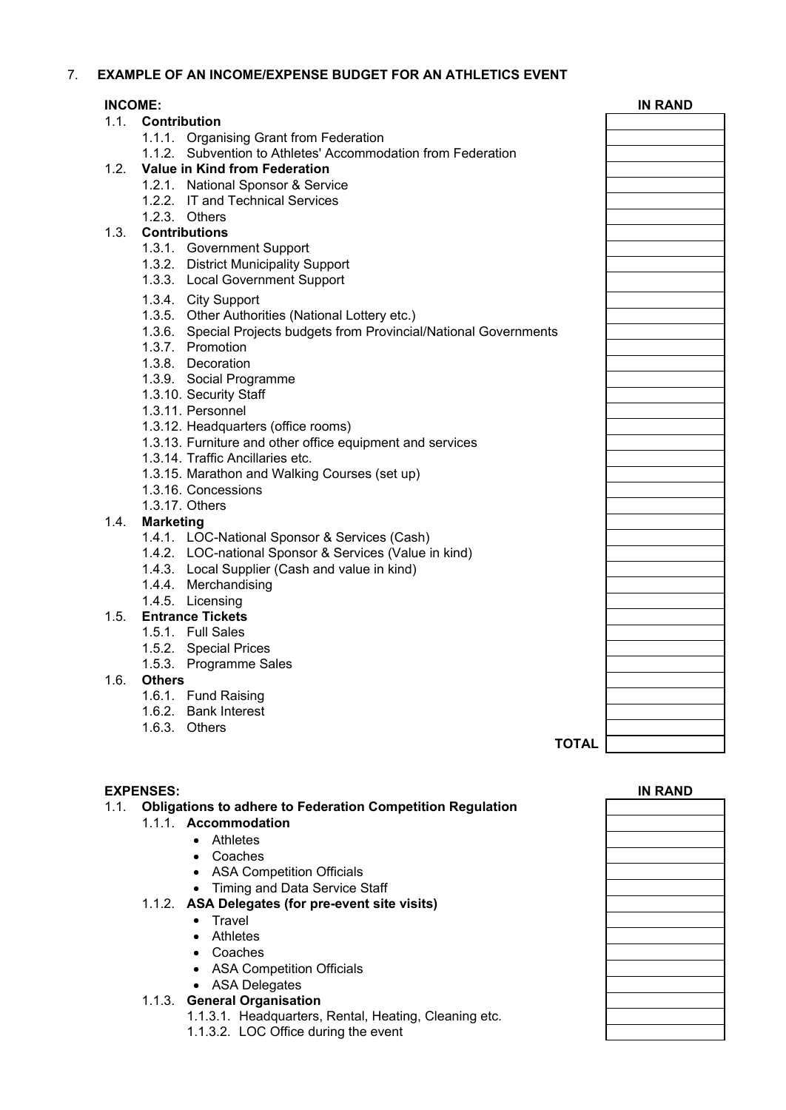## 7. **EXAMPLE OF AN INCOME/EXPENSE BUDGET FOR AN ATHLETICS EVENT**

|      | <b>INCOME:</b>                                                       | <b>IN RAND</b> |
|------|----------------------------------------------------------------------|----------------|
|      | 1.1. Contribution                                                    |                |
|      | 1.1.1. Organising Grant from Federation                              |                |
|      | 1.1.2. Subvention to Athletes' Accommodation from Federation         |                |
| 1.2. | Value in Kind from Federation                                        |                |
|      | 1.2.1. National Sponsor & Service                                    |                |
|      | 1.2.2. IT and Technical Services                                     |                |
|      | 1.2.3. Others                                                        |                |
| 1.3. | <b>Contributions</b>                                                 |                |
|      | 1.3.1. Government Support                                            |                |
|      | 1.3.2. District Municipality Support                                 |                |
|      | 1.3.3. Local Government Support                                      |                |
|      | 1.3.4. City Support                                                  |                |
|      | 1.3.5. Other Authorities (National Lottery etc.)                     |                |
|      | 1.3.6. Special Projects budgets from Provincial/National Governments |                |
|      | 1.3.7. Promotion                                                     |                |
|      | 1.3.8. Decoration                                                    |                |
|      |                                                                      |                |
|      | 1.3.9. Social Programme                                              |                |
|      | 1.3.10. Security Staff                                               |                |
|      | 1.3.11. Personnel                                                    |                |
|      | 1.3.12. Headquarters (office rooms)                                  |                |
|      | 1.3.13. Furniture and other office equipment and services            |                |
|      | 1.3.14. Traffic Ancillaries etc.                                     |                |
|      | 1.3.15. Marathon and Walking Courses (set up)                        |                |
|      | 1.3.16. Concessions                                                  |                |
|      | 1.3.17. Others                                                       |                |
| 1.4. | <b>Marketing</b>                                                     |                |
|      | 1.4.1. LOC-National Sponsor & Services (Cash)                        |                |
|      | 1.4.2. LOC-national Sponsor & Services (Value in kind)               |                |
|      | 1.4.3. Local Supplier (Cash and value in kind)                       |                |
|      | 1.4.4. Merchandising                                                 |                |
|      | 1.4.5. Licensing                                                     |                |
| 1.5. | <b>Entrance Tickets</b>                                              |                |
|      | 1.5.1. Full Sales                                                    |                |
|      | 1.5.2. Special Prices                                                |                |
|      | 1.5.3. Programme Sales                                               |                |
| 1.6. | <b>Others</b>                                                        |                |
|      | 1.6.1. Fund Raising                                                  |                |
|      | 1.6.2. Bank Interest                                                 |                |
|      | 1.6.3. Others                                                        |                |
|      | <b>TOTAL</b>                                                         |                |
|      |                                                                      |                |

- 1.1.1. **Accommodation**
	- Athletes
	- Coaches
	- ASA Competition Officials
	- Timing and Data Service Staff

#### 1.1.2. **ASA Delegates (for pre-event site visits)**

- Travel
- Athletes
- Coaches
- ASA Competition Officials
- **ASA Delegates ASA** Delegates

#### 1.1.3. **General Organisation**

- 1.1.3.1. Headquarters, Rental, Heating, Cleaning etc.
- 1.1.3.2. LOC Office during the event

| <b>EXPENSES:</b> |        |                                                                   | <b>IN RAND</b> |
|------------------|--------|-------------------------------------------------------------------|----------------|
| 1.1.             |        | <b>Obligations to adhere to Federation Competition Regulation</b> |                |
|                  |        | 1.1.1. Accommodation                                              |                |
|                  |        | • Athletes                                                        |                |
|                  |        | • Coaches                                                         |                |
|                  |        | • ASA Competition Officials                                       |                |
|                  |        | • Timing and Data Service Staff                                   |                |
|                  |        | 1.1.2. ASA Delegates (for pre-event site visits)                  |                |
|                  |        | Travel<br>$\bullet$                                               |                |
|                  |        | • Athletes                                                        |                |
|                  |        | • Coaches                                                         |                |
|                  |        | • ASA Competition Officials                                       |                |
|                  |        | • ASA Delegates                                                   |                |
|                  | 1.1.3. | <b>General Organisation</b>                                       |                |
|                  |        | 1.1.3.1. Headquarters, Rental, Heating, Cleaning etc.             |                |
|                  |        | 1.1.3.2. LOC Office during the event                              |                |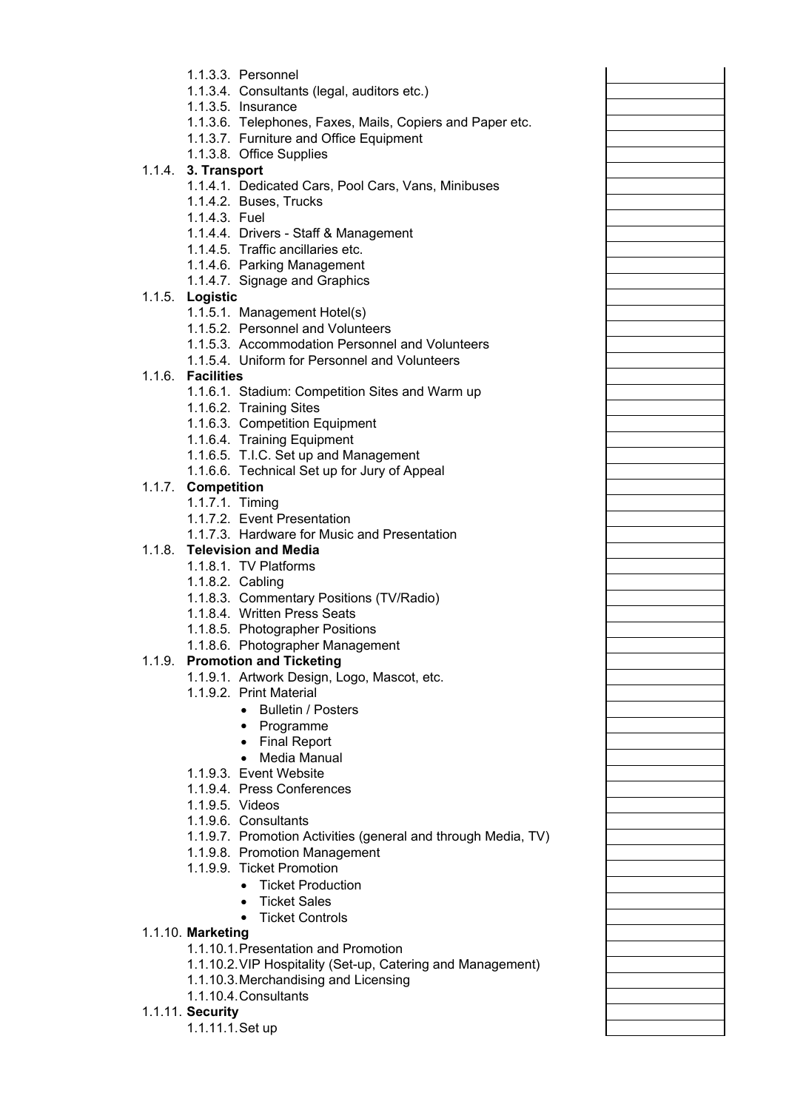- 1.1.3.3. Personnel
- 1.1.3.4. Consultants (legal, auditors etc.)
- 1.1.3.5. Insurance
- 1.1.3.6. Telephones, Faxes, Mails, Copiers and Paper etc.
- 1.1.3.7. Furniture and Office Equipment
- 1.1.3.8. Office Supplies

## 1.1.4. **3. Transport**

- 1.1.4.1. Dedicated Cars, Pool Cars, Vans, Minibuses
- 1.1.4.2. Buses, Trucks
- 1.1.4.3. Fuel
- 1.1.4.4. Drivers Staff & Management
- 1.1.4.5. Traffic ancillaries etc.
- 1.1.4.6. Parking Management
- 1.1.4.7. Signage and Graphics

## 1.1.5. **Logistic**

- 1.1.5.1. Management Hotel(s)
- 1.1.5.2. Personnel and Volunteers
- 1.1.5.3. Accommodation Personnel and Volunteers
- 1.1.5.4. Uniform for Personnel and Volunteers

## 1.1.6. **Facilities**

- 1.1.6.1. Stadium: Competition Sites and Warm up
- 1.1.6.2. Training Sites
- 1.1.6.3. Competition Equipment
- 1.1.6.4. Training Equipment
- 1.1.6.5. T.I.C. Set up and Management
- 1.1.6.6. Technical Set up for Jury of Appeal

## 1.1.7. **Competition**

- 1.1.7.1. Timing
- 1.1.7.2. Event Presentation
- 1.1.7.3. Hardware for Music and Presentation

## 1.1.8. **Television and Media**

- 1.1.8.1. TV Platforms
- 1.1.8.2. Cabling
- 1.1.8.3. Commentary Positions (TV/Radio)
- 1.1.8.4. Written Press Seats
- 1.1.8.5. Photographer Positions
- 1.1.8.6. Photographer Management

## 1.1.9. **Promotion and Ticketing**

- 1.1.9.1. Artwork Design, Logo, Mascot, etc.
- 1.1.9.2. Print Material
	- Bulletin / Posters
	- Programme
	- Final Report
	- Media Manual
- 1.1.9.3. Event Website
- 1.1.9.4. Press Conferences
- 1.1.9.5. Videos
- 1.1.9.6. Consultants
- 1.1.9.7. Promotion Activities (general and through Media, TV)
- 1.1.9.8. Promotion Management
- 1.1.9.9. Ticket Promotion
	- Ticket Production
	- Ticket Sales
	- Ticket Controls

## 1.1.10. **Marketing**

- 1.1.10.1.Presentation and Promotion
- 1.1.10.2.VIP Hospitality (Set-up, Catering and Management)
- 1.1.10.3.Merchandising and Licensing
- 1.1.10.4.Consultants
- 1.1.11. **Security**
	- 1.1.11.1.Set up